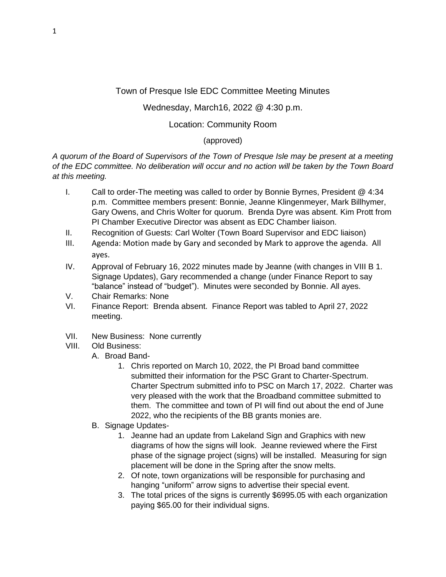## Town of Presque Isle EDC Committee Meeting Minutes

## Wednesday, March16, 2022 @ 4:30 p.m.

## Location: Community Room

## (approved)

*A quorum of the Board of Supervisors of the Town of Presque Isle may be present at a meeting of the EDC committee. No deliberation will occur and no action will be taken by the Town Board at this meeting.*

- I. Call to order-The meeting was called to order by Bonnie Byrnes, President @ 4:34 p.m. Committee members present: Bonnie, Jeanne Klingenmeyer, Mark Billhymer, Gary Owens, and Chris Wolter for quorum. Brenda Dyre was absent. Kim Prott from PI Chamber Executive Director was absent as EDC Chamber liaison.
- II. Recognition of Guests: Carl Wolter (Town Board Supervisor and EDC liaison)
- III. Agenda: Motion made by Gary and seconded by Mark to approve the agenda. All ayes.
- IV. Approval of February 16, 2022 minutes made by Jeanne (with changes in VIII B 1. Signage Updates), Gary recommended a change (under Finance Report to say "balance" instead of "budget"). Minutes were seconded by Bonnie. All ayes.
- V. Chair Remarks: None
- VI. Finance Report: Brenda absent. Finance Report was tabled to April 27, 2022 meeting.
- VII. New Business: None currently
- VIII. Old Business:
	- A. Broad Band-
		- 1. Chris reported on March 10, 2022, the PI Broad band committee submitted their information for the PSC Grant to Charter-Spectrum. Charter Spectrum submitted info to PSC on March 17, 2022. Charter was very pleased with the work that the Broadband committee submitted to them. The committee and town of PI will find out about the end of June 2022, who the recipients of the BB grants monies are.
	- B. Signage Updates-
		- 1. Jeanne had an update from Lakeland Sign and Graphics with new diagrams of how the signs will look. Jeanne reviewed where the First phase of the signage project (signs) will be installed. Measuring for sign placement will be done in the Spring after the snow melts.
		- 2. Of note, town organizations will be responsible for purchasing and hanging "uniform" arrow signs to advertise their special event.
		- 3. The total prices of the signs is currently \$6995.05 with each organization paying \$65.00 for their individual signs.